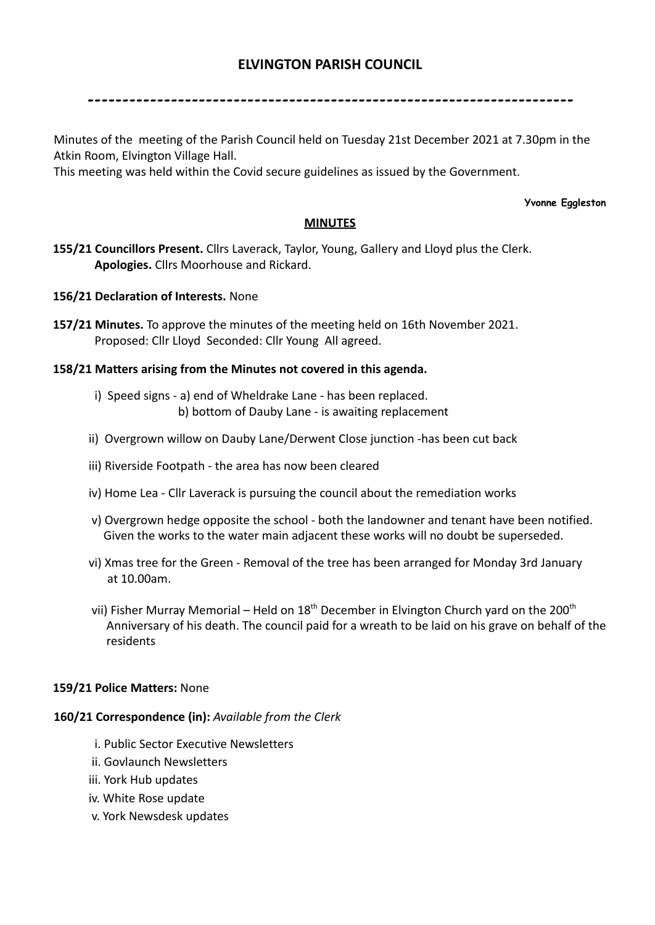# **ELVINGTON PARISH COUNCIL**

----------------------------------------------------------------------

Minutes of the meeting of the Parish Council held on Tuesday 21st December 2021 at 7.30pm in the Atkin Room, Elvington Village Hall.

This meeting was held within the Covid secure guidelines as issued by the Government.

#### **Yvonne Eggleston**

## **MINUTES**

**155/21 Councillors Present.** Cllrs Laverack, Taylor, Young, Gallery and Lloyd plus the Clerk. **Apologies.** Cllrs Moorhouse and Rickard.

# **156/21 Declaration of Interests.** None

**157/21 Minutes.** To approve the minutes of the meeting held on 16th November 2021. Proposed: Cllr Lloyd Seconded: Cllr Young All agreed.

# **158/21 Matters arising from the Minutes not covered in this agenda.**

- i) Speed signs a) end of Wheldrake Lane has been replaced. b) bottom of Dauby Lane - is awaiting replacement
- ii) Overgrown willow on Dauby Lane/Derwent Close junction -has been cut back
- iii) Riverside Footpath the area has now been cleared
- iv) Home Lea Cllr Laverack is pursuing the council about the remediation works
- v) Overgrown hedge opposite the school both the landowner and tenant have been notified. Given the works to the water main adjacent these works will no doubt be superseded.
- vi) Xmas tree for the Green Removal of the tree has been arranged for Monday 3rd January at 10.00am.
- vii) Fisher Murray Memorial Held on  $18<sup>th</sup>$  December in Elvington Church yard on the 200<sup>th</sup> Anniversary of his death. The council paid for a wreath to be laid on his grave on behalf of the residents

### **159/21 Police Matters:** None

### **160/21 Correspondence (in):** *Available from the Clerk*

- i. Public Sector Executive Newsletters
- ii. Govlaunch Newsletters
- iii. York Hub updates
- iv. White Rose update
- v. York Newsdesk updates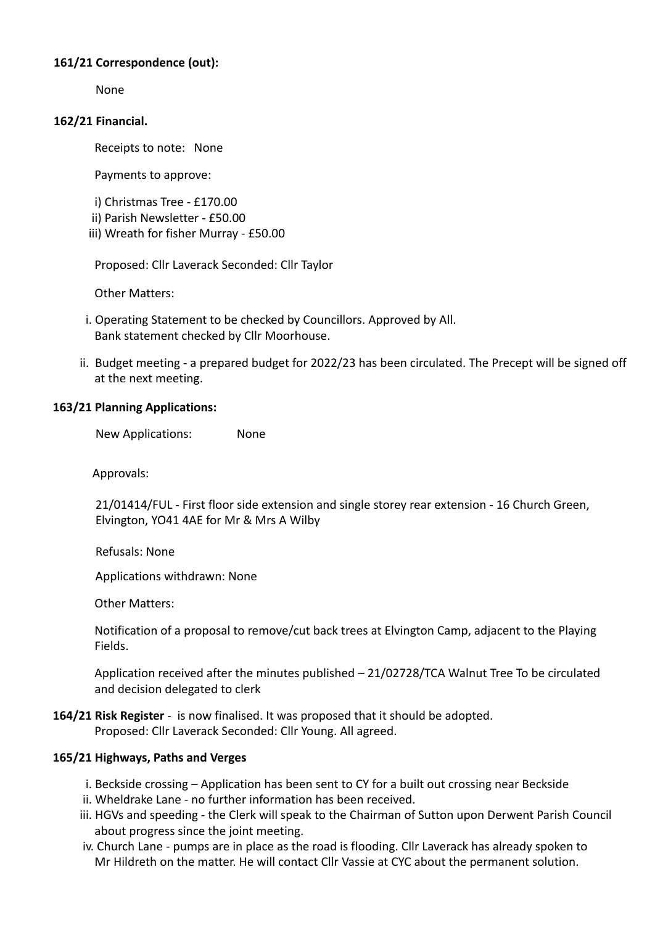# **161/21 Correspondence (out):**

None

## **162/21 Financial.**

Receipts to note: None

Payments to approve:

i) Christmas Tree - £170.00

ii) Parish Newsletter - £50.00

iii) Wreath for fisher Murray - £50.00

Proposed: Cllr Laverack Seconded: Cllr Taylor

Other Matters:

- i. Operating Statement to be checked by Councillors. Approved by All. Bank statement checked by Cllr Moorhouse.
- ii. Budget meeting a prepared budget for 2022/23 has been circulated. The Precept will be signed off at the next meeting.

# **163/21 Planning Applications:**

New Applications: None

Approvals:

21/01414/FUL - First floor side extension and single storey rear extension - 16 Church Green, Elvington, YO41 4AE for Mr & Mrs A Wilby

Refusals: None

Applications withdrawn: None

Other Matters:

Notification of a proposal to remove/cut back trees at Elvington Camp, adjacent to the Playing Fields.

Application received after the minutes published – 21/02728/TCA Walnut Tree To be circulated and decision delegated to clerk

**164/21 Risk Register** - is now finalised. It was proposed that it should be adopted. Proposed: Cllr Laverack Seconded: Cllr Young. All agreed.

# **165/21 Highways, Paths and Verges**

- i. Beckside crossing Application has been sent to CY for a built out crossing near Beckside
- ii. Wheldrake Lane no further information has been received.
- iii. HGVs and speeding the Clerk will speak to the Chairman of Sutton upon Derwent Parish Council about progress since the joint meeting.
- iv. Church Lane pumps are in place as the road is flooding. Cllr Laverack has already spoken to Mr Hildreth on the matter. He will contact Cllr Vassie at CYC about the permanent solution.